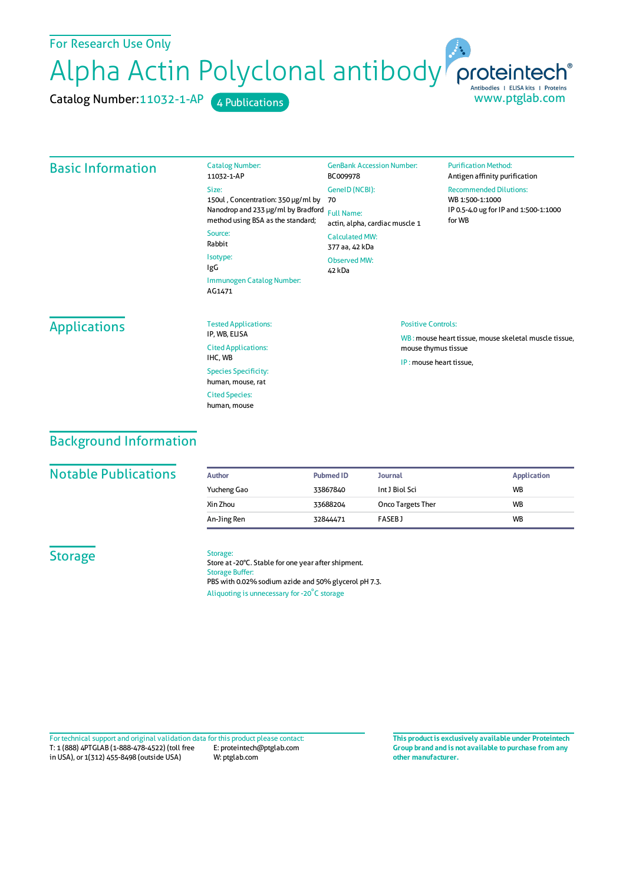# For Research Use Only Alpha Actin Polyclonal antibody proteintech® Antibodies | ELISA kits | Proteins www.ptglab.com

Catalog Number:11032-1-AP 4 Publications

#### Basic Information Catalog Number: 11032-1-AP Size: 150ul , Concentration: 350 μg/ml by 70 Nanodrop and 233 μg/ml by Bradford Full Name: method using BSA as the standard; Source: Rabbit Isotype: IgG Immunogen Catalog Number: AG1471 GenBank Accession Number: BC009978 GeneID(NCBI): actin, alpha, cardiac muscle 1 CalculatedMW: 377 aa, 42 kDa Observed MW: 42 kDa **Purification Method:** Antigen affinity purification Recommended Dilutions: WB 1:500-1:1000 IP 0.5-4.0 ug for IP and 1:500-1:1000 forWB Applications Tested Applications: IP, WB, ELISA Cited Applications: IHC, WB Species Specificity: human, mouse, rat Cited Species: Positive Controls: WB : mouse heart tissue, mouse skeletal muscle tissue, mouse thymus tissue IP : mouse heart tissue,

## Background Information

#### **Notable Publications**

| Author      | <b>Pubmed ID</b> | <b>Journal</b>           | <b>Application</b> |
|-------------|------------------|--------------------------|--------------------|
| Yucheng Gao | 33867840         | Int J Biol Sci           | <b>WB</b>          |
| Xin Zhou    | 33688204         | <b>Onco Targets Ther</b> | <b>WB</b>          |
| An-Jing Ren | 32844471         | <b>FASEBJ</b>            | <b>WB</b>          |

### **Storage**

Storage: Store at -20°C. Stable for one year after shipment. Storage Buffer: PBS with 0.02% sodium azide and 50% glycerol pH 7.3. Aliquoting is unnecessary for -20<sup>°</sup>C storage

human, mouse

T: 1 (888) 4PTGLAB (1-888-478-4522) (toll free in USA), or 1(312) 455-8498 (outside USA) E: proteintech@ptglab.com W: ptglab.com Fortechnical support and original validation data forthis product please contact: **This productis exclusively available under Proteintech**

**Group brand and is not available to purchase from any other manufacturer.**